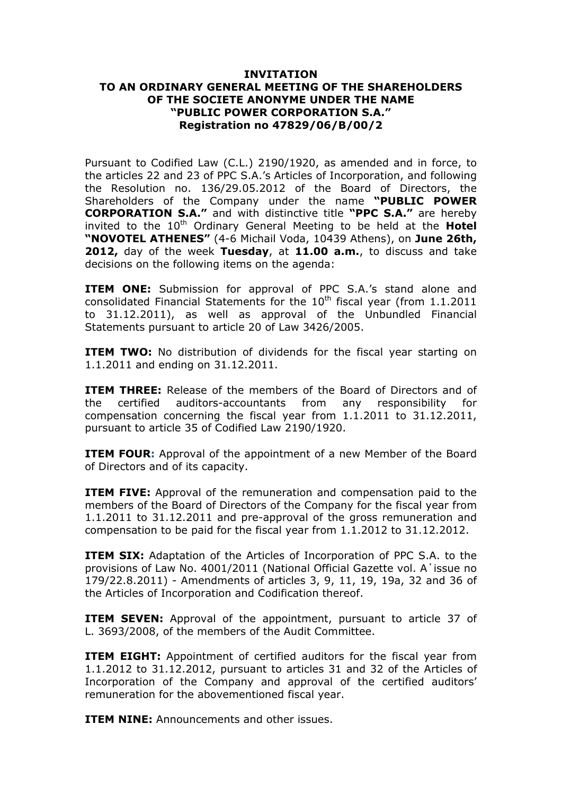## **INVITATION TO AN ORDINARY GENERAL MEETING OF THE SHAREHOLDERS OF THE SOCIETE ANONYME UNDER THE NAME "PUBLIC POWER CORPORATION S.A." Registration no 47829/06/Β/00/2**

Pursuant to Codified Law (C.L.) 2190/1920, as amended and in force, to the articles 22 and 23 of PPC S.A.'s Articles of Incorporation, and following the Resolution no. 136/29.05.2012 of the Board of Directors, the Shareholders of the Company under the name **"PUBLIC POWER CORPORATION S.A."** and with distinctive title **"PPC S.A."** are hereby invited to the 10<sup>th</sup> Ordinary General Meeting to be held at the **Hotel "NOVOTEL ATHENES"** (4-6 Michail Voda, 10439 Athens), on **June 26th, 2012,** day of the week **Tuesday**, at **11.00 a.m.**, to discuss and take decisions on the following items on the agenda:

**ITEM ONE:** Submission for approval of PPC S.A.'s stand alone and consolidated Financial Statements for the  $10<sup>th</sup>$  fiscal year (from  $1.1.2011$ to 31.12.2011), as well as approval of the Unbundled Financial Statements pursuant to article 20 of Law 3426/2005.

**ITEM TWO:** No distribution of dividends for the fiscal year starting on 1.1.2011 and ending on 31.12.2011.

**ITEM THREE:** Release of the members of the Board of Directors and of the certified auditors-accountants from any responsibility for compensation concerning the fiscal year from 1.1.2011 to 31.12.2011, pursuant to article 35 of Codified Law 2190/1920.

**ITEM FOUR:** Approval of the appointment of a new Member of the Board of Directors and of its capacity.

**ITEM FIVE:** Approval of the remuneration and compensation paid to the members of the Board of Directors of the Company for the fiscal year from 1.1.2011 to 31.12.2011 and pre-approval of the gross remuneration and compensation to be paid for the fiscal year from 1.1.2012 to 31.12.2012.

**ITEM SIX:** Adaptation of the Articles of Incorporation of PPC S.A. to the provisions of Law No. 4001/2011 (National Official Gazette vol. A΄issue no 179/22.8.2011) - Amendments of articles 3, 9, 11, 19, 19a, 32 and 36 of the Articles of Incorporation and Codification thereof.

**ITEM SEVEN:** Approval of the appointment, pursuant to article 37 of L. 3693/2008, of the members of the Audit Committee.

**ITEM EIGHT:** Appointment of certified auditors for the fiscal year from 1.1.2012 to 31.12.2012, pursuant to articles 31 and 32 of the Articles of Incorporation of the Company and approval of the certified auditors' remuneration for the abovementioned fiscal year.

**ITEM NINE:** Announcements and other issues.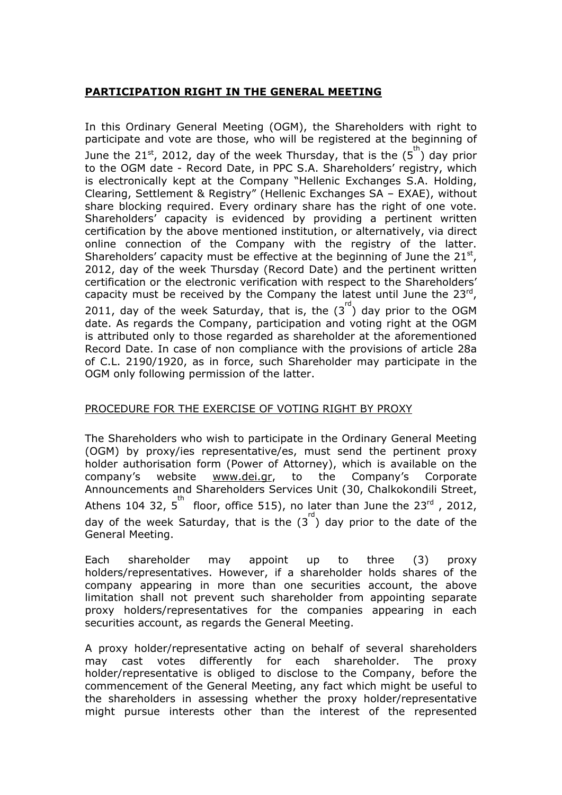## **PARTICIPATION RIGHT IN THE GENERAL MEETING**

In this Ordinary General Meeting (OGM), the Shareholders with right to participate and vote are those, who will be registered at the beginning of June the 21<sup>st</sup>, 2012, day of the week Thursday, that is the  $(5^{\text{th}})$  day prior to the OGM date - Record Date, in PPC S.A. Shareholders' registry, which is electronically kept at the Company "Hellenic Exchanges S.A. Holding, Clearing, Settlement & Registry" (Hellenic Exchanges SA – EXAE), without share blocking required. Every ordinary share has the right of one vote. Shareholders' capacity is evidenced by providing a pertinent written certification by the above mentioned institution, or alternatively, via direct online connection of the Company with the registry of the latter. Shareholders' capacity must be effective at the beginning of June the  $21^{st}$ , 2012, day of the week Thursday (Record Date) and the pertinent written certification or the electronic verification with respect to the Shareholders' capacity must be received by the Company the latest until June the  $23^{rd}$ , 2011, day of the week Saturday, that is, the  $(3^{rd})$  day prior to the OGM date. As regards the Company, participation and voting right at the OGM is attributed only to those regarded as shareholder at the aforementioned Record Date. In case of non compliance with the provisions of article 28a of C.L. 2190/1920, as in force, such Shareholder may participate in the OGM only following permission of the latter.

# PROCEDURE FOR THE EXERCISE OF VOTING RIGHT BY PROXY

The Shareholders who wish to participate in the Ordinary General Meeting (OGM) by proxy/ies representative/es, must send the pertinent proxy holder authorisation form (Power of Attorney), which is available on the company's website [www.dei.gr](http://www.dei.gr/), to the Company's Corporate Announcements and Shareholders Services Unit (30, Chalkokondili Street, Athens 104 32,  $5^{\text{th}}$  floor, office 515), no later than June the 23<sup>rd</sup>, 2012, day of the week Saturday, that is the  $(3^{rd})$  day prior to the date of the General Meeting.

Each shareholder may appoint up to three (3) proxy holders/representatives. However, if a shareholder holds shares of the company appearing in more than one securities account, the above limitation shall not prevent such shareholder from appointing separate proxy holders/representatives for the companies appearing in each securities account, as regards the General Meeting.

A proxy holder/representative acting on behalf of several shareholders may cast votes differently for each shareholder. The proxy holder/representative is obliged to disclose to the Company, before the commencement of the General Meeting, any fact which might be useful to the shareholders in assessing whether the proxy holder/representative might pursue interests other than the interest of the represented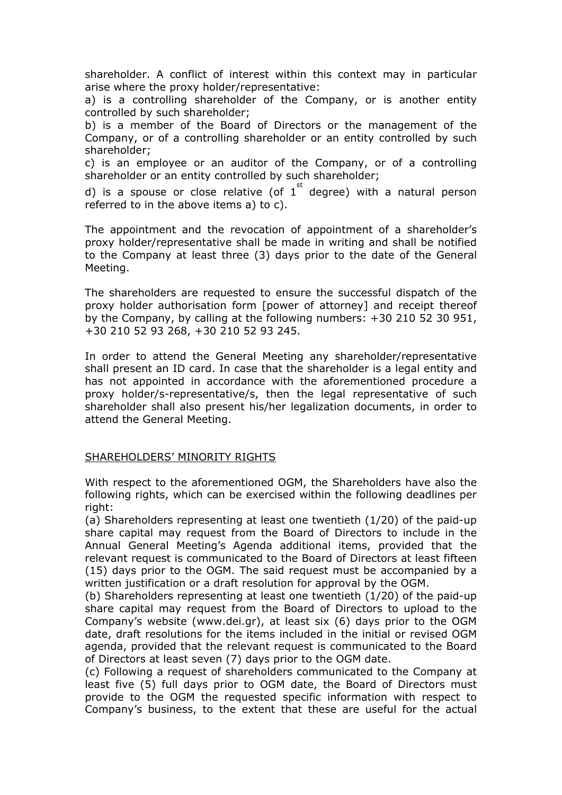shareholder. A conflict of interest within this context may in particular arise where the proxy holder/representative:

a) is a controlling shareholder of the Company, or is another entity controlled by such shareholder;

b) is a member of the Board of Directors or the management of the Company, or of a controlling shareholder or an entity controlled by such shareholder;

c) is an employee or an auditor of the Company, or of a controlling shareholder or an entity controlled by such shareholder;

d) is a spouse or close relative (of  $1<sup>st</sup>$  degree) with a natural person referred to in the above items a) to c).

The appointment and the revocation of appointment of a shareholder's proxy holder/representative shall be made in writing and shall be notified to the Company at least three (3) days prior to the date of the General Meeting.

The shareholders are requested to ensure the successful dispatch of the proxy holder authorisation form [power of attorney] and receipt thereof by the Company, by calling at the following numbers: +30 210 52 30 951, +30 210 52 93 268, +30 210 52 93 245.

In order to attend the General Meeting any shareholder/representative shall present an ID card. In case that the shareholder is a legal entity and has not appointed in accordance with the aforementioned procedure a proxy holder/s-representative/s, then the legal representative of such shareholder shall also present his/her legalization documents, in order to attend the General Meeting.

## SHAREHOLDERS' MINORITY RIGHTS

With respect to the aforementioned OGM, the Shareholders have also the following rights, which can be exercised within the following deadlines per right:

(a) Shareholders representing at least one twentieth (1/20) of the paid-up share capital may request from the Board of Directors to include in the Annual General Meeting's Agenda additional items, provided that the relevant request is communicated to the Board of Directors at least fifteen (15) days prior to the OGM. The said request must be accompanied by a written justification or a draft resolution for approval by the OGM.

(b) Shareholders representing at least one twentieth (1/20) of the paid-up share capital may request from the Board of Directors to upload to the Company's website (www.dei.gr), at least six (6) days prior to the OGM date, draft resolutions for the items included in the initial or revised OGM agenda, provided that the relevant request is communicated to the Board of Directors at least seven (7) days prior to the OGM date.

(c) Following a request of shareholders communicated to the Company at least five (5) full days prior to OGM date, the Board of Directors must provide to the OGM the requested specific information with respect to Company's business, to the extent that these are useful for the actual